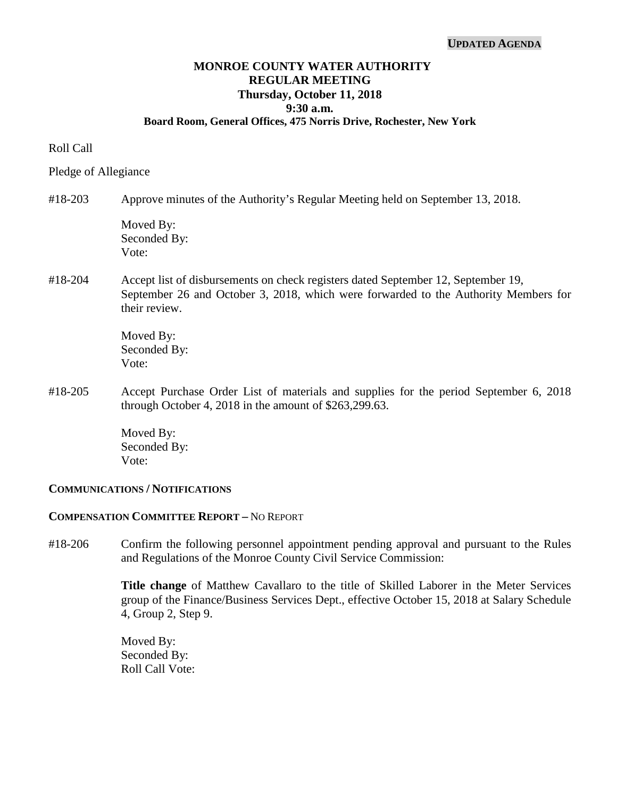#### **UPDATED AGENDA**

## **MONROE COUNTY WATER AUTHORITY REGULAR MEETING Thursday, October 11, 2018 9:30 a.m. Board Room, General Offices, 475 Norris Drive, Rochester, New York**

#### Roll Call

Pledge of Allegiance

### #18-203 Approve minutes of the Authority's Regular Meeting held on September 13, 2018.

Moved By: Seconded By: Vote:

#18-204 Accept list of disbursements on check registers dated September 12, September 19, September 26 and October 3, 2018, which were forwarded to the Authority Members for their review.

> Moved By: Seconded By: Vote:

#18-205 Accept Purchase Order List of materials and supplies for the period September 6, 2018 through October 4, 2018 in the amount of \$263,299.63.

> Moved By: Seconded By: Vote:

### **COMMUNICATIONS / NOTIFICATIONS**

### **COMPENSATION COMMITTEE REPORT –** NO REPORT

#18-206 Confirm the following personnel appointment pending approval and pursuant to the Rules and Regulations of the Monroe County Civil Service Commission:

> **Title change** of Matthew Cavallaro to the title of Skilled Laborer in the Meter Services group of the Finance/Business Services Dept., effective October 15, 2018 at Salary Schedule 4, Group 2, Step 9.

Moved By: Seconded By: Roll Call Vote: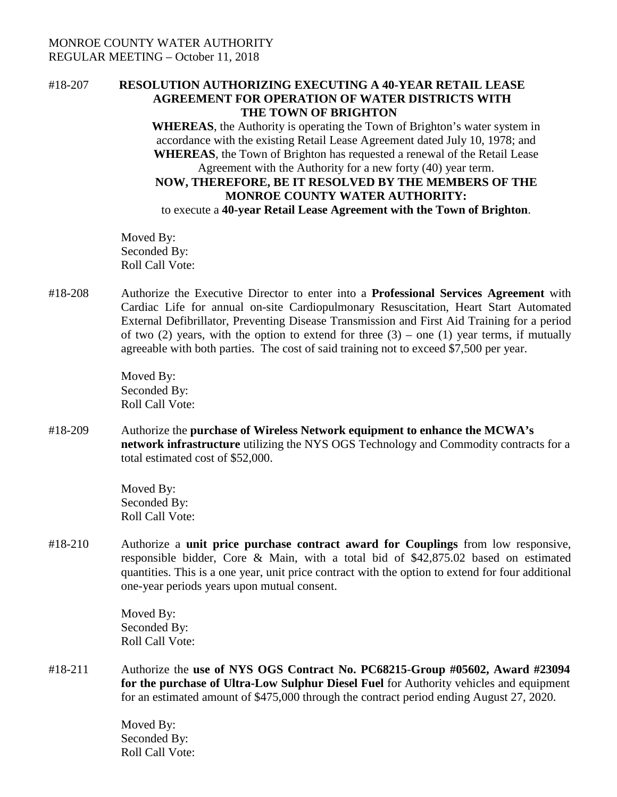# MONROE COUNTY WATER AUTHORITY REGULAR MEETING – October 11, 2018

## #18-207 **RESOLUTION AUTHORIZING EXECUTING A 40-YEAR RETAIL LEASE AGREEMENT FOR OPERATION OF WATER DISTRICTS WITH THE TOWN OF BRIGHTON**

**WHEREAS**, the Authority is operating the Town of Brighton's water system in accordance with the existing Retail Lease Agreement dated July 10, 1978; and **WHEREAS**, the Town of Brighton has requested a renewal of the Retail Lease Agreement with the Authority for a new forty (40) year term. **NOW, THEREFORE, BE IT RESOLVED BY THE MEMBERS OF THE MONROE COUNTY WATER AUTHORITY:**

to execute a **40-year Retail Lease Agreement with the Town of Brighton**.

Moved By: Seconded By: Roll Call Vote:

#18-208 Authorize the Executive Director to enter into a **Professional Services Agreement** with Cardiac Life for annual on-site Cardiopulmonary Resuscitation, Heart Start Automated External Defibrillator, Preventing Disease Transmission and First Aid Training for a period of two  $(2)$  years, with the option to extend for three  $(3)$  – one  $(1)$  year terms, if mutually agreeable with both parties. The cost of said training not to exceed \$7,500 per year.

> Moved By: Seconded By: Roll Call Vote:

#18-209 Authorize the **purchase of Wireless Network equipment to enhance the MCWA's network infrastructure** utilizing the NYS OGS Technology and Commodity contracts for a total estimated cost of \$52,000.

> Moved By: Seconded By: Roll Call Vote:

#18-210 Authorize a **unit price purchase contract award for Couplings** from low responsive, responsible bidder, Core & Main, with a total bid of \$42,875.02 based on estimated quantities. This is a one year, unit price contract with the option to extend for four additional one-year periods years upon mutual consent.

> Moved By: Seconded By: Roll Call Vote:

#18-211 Authorize the **use of NYS OGS Contract No. PC68215**-**Group #05602, Award #23094 for the purchase of Ultra-Low Sulphur Diesel Fuel** for Authority vehicles and equipment for an estimated amount of \$475,000 through the contract period ending August 27, 2020.

> Moved By: Seconded By: Roll Call Vote: